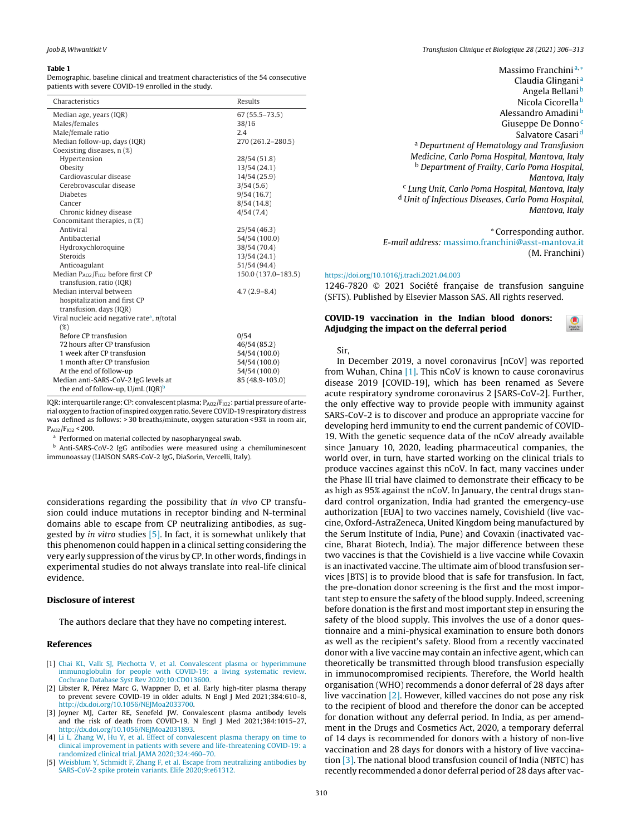#### **Table 1**

Demographic, baseline clinical and treatment characteristics of the 54 consecutive patients with severe COVID-19 enrolled in the study.

| Characteristics                                         | Results             |
|---------------------------------------------------------|---------------------|
| Median age, years (IQR)                                 | $67(55.5 - 73.5)$   |
| Males/females                                           | 38/16               |
| Male/female ratio                                       | 2.4                 |
| Median follow-up, days (IQR)                            | 270 (261.2-280.5)   |
| Coexisting diseases, n (%)                              |                     |
| Hypertension                                            | 28/54 (51.8)        |
| Obesity                                                 | 13/54(24.1)         |
| Cardiovascular disease                                  | 14/54 (25.9)        |
| Cerebrovascular disease                                 | 3/54(5.6)           |
| <b>Diabetes</b>                                         | 9/54(16.7)          |
| Cancer                                                  | 8/54(14.8)          |
| Chronic kidney disease                                  | 4/54(7.4)           |
| Concomitant therapies, n (%)                            |                     |
| Antiviral                                               | 25/54 (46.3)        |
| Antibacterial                                           | 54/54 (100.0)       |
| Hydroxychloroquine                                      | 38/54 (70.4)        |
| Steroids                                                | 13/54 (24.1)        |
| Anticoagulant                                           | 51/54 (94.4)        |
| Median $P_{AO2}/F_{IO2}$ before first CP                | 150.0 (137.0-183.5) |
| transfusion, ratio (IQR)                                |                     |
| Median interval between                                 | $4.7(2.9 - 8.4)$    |
| hospitalization and first CP                            |                     |
| transfusion, days (IQR)                                 |                     |
| Viral nucleic acid negative rate <sup>a</sup> , n/total |                     |
| (%)                                                     |                     |
| <b>Before CP transfusion</b>                            | 0/54                |
| 72 hours after CP transfusion                           | 46/54 (85.2)        |
| 1 week after CP transfusion                             | 54/54 (100.0)       |
| 1 month after CP transfusion                            | 54/54 (100.0)       |
| At the end of follow-up                                 | 54/54 (100.0)       |
| Median anti-SARS-CoV-2 IgG levels at                    | 85 (48.9-103.0)     |
| the end of follow-up, $U/mL$ (IQR) <sup>b</sup>         |                     |

IQR: interquartile range; CP: convalescent plasma; PAO2/F<sub>102</sub>: partial pressure of arterial oxygen to fraction of inspired oxygen ratio. Severe COVID-19 respiratory distress was defined as follows: > 30 breaths/minute, oxygen saturation < 93% in room air,  $P_{AO2}/F_{IO2}$  < 200.

<sup>a</sup> Performed on material collected by nasopharyngeal swab.

<sup>b</sup> Anti-SARS-CoV-2 IgG antibodies were measured using a chemiluminescent immunoassay (LIAISON SARS-CoV-2 IgG, DiaSorin, Vercelli, Italy).

considerations regarding the possibility that in vivo CP transfusion could induce mutations in receptor binding and N-terminal domains able to escape from CP neutralizing antibodies, as suggested by in vitro studies  $[5]$ . In fact, it is somewhat unlikely that this phenomenon could happen in a clinical setting considering the very early suppression of the virus by CP. In other words, findings in experimental studies do not always translate into real-life clinical evidence.

## **Disclosure of interest**

The authors declare that they have no competing interest.

## References

- [1] Chai KL, Valk SJ, Piechotta V, et al. Convalescent plasma or hyperimmune immunoglobulin for people with COVID-19: a living systematic review. Cochrane Database Syst Rev 2020;10:CD013600.
- [2] Libster R, Pérez Marc G, Wappner D, et al. Early high-titer plasma therapy to prevent severe COVID-19 in older adults. N Engl J Med 2021;384:610-8, http://dx.doi.org/10.1056/NEJMoa2033700.
- [3] Joyner MJ, Carter RE, Senefeld JW. Convalescent plasma antibody levels and the risk of death from COVID-19. N Engl J Med 2021;384:1015-27, http://dx.doi.org/10.1056/NEJMoa2031893.
- [4] Li L, Zhang W, Hu Y, et al. Effect of convalescent plasma therapy on time to clinical improvement in patients with severe and life-threatening COVID-19; a randomized clinical trial. JAMA 2020;324:460-70.
- [5] Weisblum Y, Schmidt F, Zhang F, et al. Escape from neutralizing antibodies by SARS-CoV-2 spike protein variants. Elife 2020;9:e61312.

Massimo Franchini $a,*$ 

Claudia Glingani<sup>a</sup> Angela Bellani<sup>b</sup> Nicola Cicorella<sup>b</sup> Alessandro Amadini<sup>b</sup> Giuseppe De Donno<sup>c</sup> Salvatore Casari<sup>d</sup> <sup>a</sup> Department of Hematology and Transfusion Medicine, Carlo Poma Hospital, Mantova, Italy <sup>b</sup> Department of Frailty, Carlo Poma Hospital, Mantova, Italy <sup>c</sup> Lung Unit, Carlo Poma Hospital, Mantova, Italy <sup>d</sup> Unit of Infectious Diseases, Carlo Poma Hospital, Mantova, Italy

#### \* Corresponding author.

E-mail address: massimo.franchini@asst-mantova.it (M. Franchini)

#### https://doi.org/10.1016/j.tracli.2021.04.003

1246-7820 © 2021 Société française de transfusion sanguine (SFTS). Published by Elsevier Masson SAS. All rights reserved.

## COVID-19 vaccination in the Indian blood donors: Adjudging the impact on the deferral period

Sir.

In December 2019, a novel coronavirus [nCoV] was reported from Wuhan, China [1]. This nCoV is known to cause coronavirus disease 2019 [COVID-19], which has been renamed as Severe acute respiratory syndrome coronavirus 2 [SARS-CoV-2]. Further, the only effective way to provide people with immunity against SARS-CoV-2 is to discover and produce an appropriate vaccine for developing herd immunity to end the current pandemic of COVID-19. With the genetic sequence data of the nCoV already available since January 10, 2020, leading pharmaceutical companies, the world over, in turn, have started working on the clinical trials to produce vaccines against this nCoV. In fact, many vaccines under the Phase III trial have claimed to demonstrate their efficacy to be as high as 95% against the nCoV. In January, the central drugs standard control organization, India had granted the emergency-use authorization [EUA] to two vaccines namely, Covishield (live vaccine, Oxford-AstraZeneca, United Kingdom being manufactured by the Serum Institute of India, Pune) and Covaxin (inactivated vaccine, Bharat Biotech, India). The major difference between these two vaccines is that the Covishield is a live vaccine while Covaxin is an inactivated vaccine. The ultimate aim of blood transfusion services [BTS] is to provide blood that is safe for transfusion. In fact, the pre-donation donor screening is the first and the most important step to ensure the safety of the blood supply. Indeed, screening before donation is the first and most important step in ensuring the safety of the blood supply. This involves the use of a donor questionnaire and a mini-physical examination to ensure both donors as well as the recipient's safety. Blood from a recently vaccinated donor with a live vaccine may contain an infective agent, which can theoretically be transmitted through blood transfusion especially in immunocompromised recipients. Therefore, the World health organisation (WHO) recommends a donor deferral of 28 days after live vaccination  $[2]$ . However, killed vaccines do not pose any risk to the recipient of blood and therefore the donor can be accepted for donation without any deferral period. In India, as per amendment in the Drugs and Cosmetics Act, 2020, a temporary deferral of 14 days is recommended for donors with a history of non-live vaccination and 28 days for donors with a history of live vaccination [3]. The national blood transfusion council of India (NBTC) has recently recommended a donor deferral period of 28 days after vac-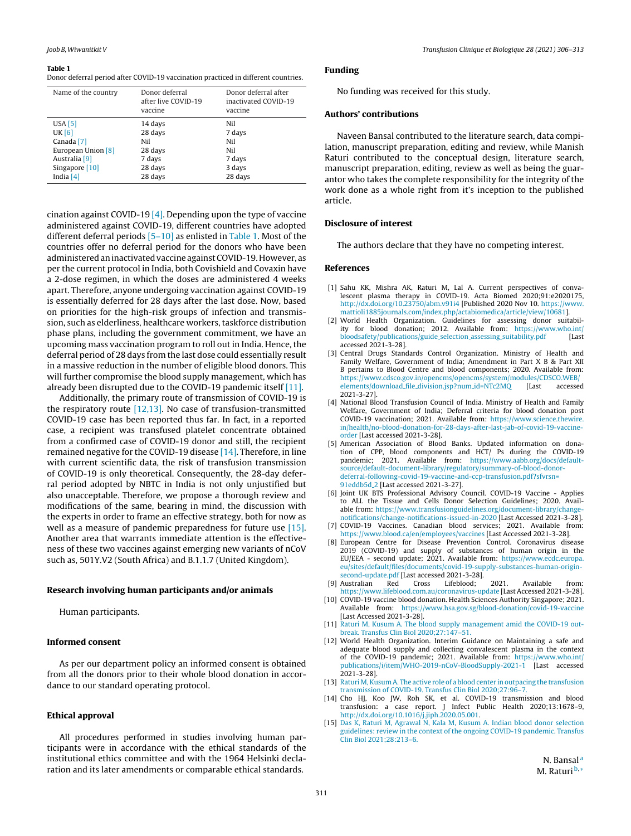#### <span id="page-1-0"></span>**Table 1**

Donor deferral period after COVID-19 vaccination practiced in different countries.

| Name of the country      | Donor deferral<br>after live COVID-19<br>vaccine | Donor deferral after<br>inactivated COVID-19<br>vaccine |
|--------------------------|--------------------------------------------------|---------------------------------------------------------|
| <b>USA</b> [5]           | 14 days                                          | Nil                                                     |
| <b>UK [6]</b>            | 28 days                                          | 7 days                                                  |
| Canada <sup>[7]</sup>    | Nil                                              | Nil                                                     |
| European Union [8]       | 28 days                                          | Nil                                                     |
| Australia <sup>[9]</sup> | 7 days                                           | 7 days                                                  |
| Singapore [10]           | 28 days                                          | 3 days                                                  |
| India $[4]$              | 28 days                                          | 28 days                                                 |

cination against COVID-19 [4]. Depending upon the type of vaccine administered against COVID-19, different countries have adopted different deferral periods [5–10] as enlisted in Table 1. Most of the countries offer no deferral period for the donors who have been administered an inactivated vaccine against COVID-19. However, as per the current protocol in India, both Covishield and Covaxin have a 2-dose regimen, in which the doses are administered 4 weeks apart. Therefore, anyone undergoing vaccination against COVID-19 is essentially deferred for 28 days after the last dose. Now, based on priorities for the high-risk groups of infection and transmission, such as elderliness, healthcare workers, taskforce distribution phase plans, including the government commitment, we have an upcoming mass vaccination program to roll out in India. Hence, the deferral period of 28 days from the last dose could essentially result in a massive reduction in the number of eligible blood donors. This will further compromise the blood supply management, which has already been disrupted due to the COVID-19 pandemic itself [11].

Additionally, the primary route of transmission of COVID-19 is the respiratory route  $[12,13]$ . No case of transfusion-transmitted COVID-19 case has been reported thus far. In fact, in a reported case, a recipient was transfused platelet concentrate obtained from a confirmed case of COVID-19 donor and still, the recipient remained negative for the COVID-19 disease [14]. Therefore, in line with current scientific data, the risk of transfusion transmission of COVID-19 is only theoretical. Consequently, the 28-day deferral period adopted by NBTC in India is not only unjustified but also unacceptable. Therefore, we propose a thorough review and modifications of the same, bearing in mind, the discussion with the experts in order to frame an effective strategy, both for now as well as a measure of pandemic preparedness for future use [15]. Another area that warrants immediate attention is the effectiveness of these two vaccines against emerging new variants of nCoV such as, 501Y.V2 (South Africa) and B.1.1.7 (United Kingdom).

## **Research involving human participants and/or animals**

Human participants.

# **Informed consent**

As per our department policy an informed consent is obtained from all the donors prior to their whole blood donation in accordance to our standard operating protocol.

### **Ethical approval**

All procedures performed in studies involving human participants were in accordance with the ethical standards of the institutional ethics committee and with the 1964 Helsinki declaration and its later amendments or comparable ethical standards.

# **Funding**

No funding was received for this study.

### **Authors' contributions**

Naveen Bansal contributed to the literature search, data compilation, manuscript preparation, editing and review, while Manish Raturi contributed to the conceptual design, literature search, manuscript preparation, editing, review as well as being the guarantor who takes the complete responsibility for the integrity of the work done as a whole right from it's inception to the published article.

#### **Disclosure of interest**

The authors declare that they have no competing interest.

## **References**

- [1] Sahu KK, Mishra AK, Raturi M, Lal A. Current perspectives of convalescent plasma therapy in COVID-19. Acta Biomed 2020;91:e2020175, [http://dx.doi.org/10.23750/abm.v91i4](dx.doi.org/10.23750/abm.v91i4) [Published 2020 Nov 10. [https://www.](https://www.mattioli1885journals.com/index.php/actabiomedica/article/view/10681) [mattioli1885journals.com/index.php/actabiomedica/article/view/10681\]](https://www.mattioli1885journals.com/index.php/actabiomedica/article/view/10681).
- [2] World Health Organization. Guidelines for assessing donor suitability for blood donation; 2012. Available from: [https://www.who.int/](https://www.who.int/bloodsafety/publications/guide_selection_assessing_suitability.pdf) [bloodsafety/publications/guide](https://www.who.int/bloodsafety/publications/guide_selection_assessing_suitability.pdf)\_selection\_assessing\_suitability.pdf [Last accessed 2021-3-28].
- [3] Central Drugs Standards Control Organization. Ministry of Health and Family Welfare, Government of India; Amendment in Part X B & Part XII B pertains to Blood Centre and blood components; 2020. Available from: [https://www.cdsco.gov.in/opencms/opencms/system/modules/CDSCO.WEB/](https://www.cdsco.gov.in/opencms/opencms/system/modules/CDSCO.WEB/elements/download_file_division.jsp?num_id=NTc2MQ) [elements/download](https://www.cdsco.gov.in/opencms/opencms/system/modules/CDSCO.WEB/elements/download_file_division.jsp?num_id=NTc2MQ) file division.jsp?num id=NTc2MQ [Last accessed 2021-3-27].
- [4] National Blood Transfusion Council of India. Ministry of Health and Family Welfare, Government of India; Deferral criteria for blood donation post COVID-19 vaccination; 2021. Available from: [https://www.science.thewire.](https://www.science.thewire.in/health/no-blood-donation-for-28-days-after-last-jab-of-covid-19-vaccine-order) [in/health/no-blood-donation-for-28-days-after-last-jab-of-covid-19-vaccine](https://www.science.thewire.in/health/no-blood-donation-for-28-days-after-last-jab-of-covid-19-vaccine-order)[order](https://www.science.thewire.in/health/no-blood-donation-for-28-days-after-last-jab-of-covid-19-vaccine-order) [Last accessed 2021-3-28].
- [5] American Association of Blood Banks. Updated information on donation of CPP, blood components and HCT/ Ps during the COVID-19 pandemic; 2021. Available from: [https://www.aabb.org/docs/default](https://www.aabb.org/docs/default-source/default-document-library/regulatory/summary-of-blood-donor-deferral-following-covid-19-vaccine-and-ccp-transfusion.pdf?sfvrsn=91eddb5d_2)[source/default-document-library/regulatory/summary-of-blood-donor](https://www.aabb.org/docs/default-source/default-document-library/regulatory/summary-of-blood-donor-deferral-following-covid-19-vaccine-and-ccp-transfusion.pdf?sfvrsn=91eddb5d_2)[deferral-following-covid-19-vaccine-and-ccp-transfusion.pdf?sfvrsn=](https://www.aabb.org/docs/default-source/default-document-library/regulatory/summary-of-blood-donor-deferral-following-covid-19-vaccine-and-ccp-transfusion.pdf?sfvrsn=91eddb5d_2) [91eddb5d](https://www.aabb.org/docs/default-source/default-document-library/regulatory/summary-of-blood-donor-deferral-following-covid-19-vaccine-and-ccp-transfusion.pdf?sfvrsn=91eddb5d_2)<sub>-2</sub> [Last accessed 2021-3-27].
- [6] Joint UK BTS Professional Advisory Council. COVID-19 Vaccine Applies to ALL the Tissue and Cells Donor Selection Guidelines; 2020. Available from: [https://www.transfusionguidelines.org/document-library/change](https://www.transfusionguidelines.org/document-library/change-notifications/change-notifications-issued-in-2020)[notifications/change-notifications-issued-in-2020](https://www.transfusionguidelines.org/document-library/change-notifications/change-notifications-issued-in-2020) [Last Accessed 2021-3-28].
- [7] COVID-19 Vaccines. Canadian blood services; 2021. Available from: <https://www.blood.ca/en/employees/vaccines> [Last Accessed 2021-3-28].
- [8] European Centre for Disease Prevention Control. Coronavirus disease 2019 (COVID-19) and supply of substances of human origin in the EU/EEA - second update; 2021. Available from: [https://www.ecdc.europa.](https://www.ecdc.europa.eu/sites/default/files/documents/covid-19-supply-substances-human-origin-second-update.pdf) [eu/sites/default/files/documents/covid-19-supply-substances-human-origin](https://www.ecdc.europa.eu/sites/default/files/documents/covid-19-supply-substances-human-origin-second-update.pdf)[second-update.pdf](https://www.ecdc.europa.eu/sites/default/files/documents/covid-19-supply-substances-human-origin-second-update.pdf) [Last accessed 2021-3-28].
- [9] Australian Red Cross Lifeblood; 2021. Available from: <https://www.lifeblood.com.au/coronavirus-update> [Last Accessed 2021-3-28].
- [10] COVID-19 vaccine blood donation. Health Sciences Authority Singapore; 2021. Available from: <https://www.hsa.gov.sg/blood-donation/covid-19-vaccine> [Last Accessed 2021-3-28].
- [11] [Raturi](http://refhub.elsevier.com/S1246-7820(21)00079-3/sbref0190) [M,](http://refhub.elsevier.com/S1246-7820(21)00079-3/sbref0190) [Kusum](http://refhub.elsevier.com/S1246-7820(21)00079-3/sbref0190) [A.](http://refhub.elsevier.com/S1246-7820(21)00079-3/sbref0190) [The](http://refhub.elsevier.com/S1246-7820(21)00079-3/sbref0190) [blood](http://refhub.elsevier.com/S1246-7820(21)00079-3/sbref0190) [supply](http://refhub.elsevier.com/S1246-7820(21)00079-3/sbref0190) [management](http://refhub.elsevier.com/S1246-7820(21)00079-3/sbref0190) [amid](http://refhub.elsevier.com/S1246-7820(21)00079-3/sbref0190) [the](http://refhub.elsevier.com/S1246-7820(21)00079-3/sbref0190) [COVID-19](http://refhub.elsevier.com/S1246-7820(21)00079-3/sbref0190) [out](http://refhub.elsevier.com/S1246-7820(21)00079-3/sbref0190)[break.](http://refhub.elsevier.com/S1246-7820(21)00079-3/sbref0190) [Transfus](http://refhub.elsevier.com/S1246-7820(21)00079-3/sbref0190) [Clin](http://refhub.elsevier.com/S1246-7820(21)00079-3/sbref0190) [Biol](http://refhub.elsevier.com/S1246-7820(21)00079-3/sbref0190) [2020;27:147–51.](http://refhub.elsevier.com/S1246-7820(21)00079-3/sbref0190)
- [12] World Health Organization. Interim Guidance on Maintaining a safe and adequate blood supply and collecting convalescent plasma in the context of the COVID-19 pandemic; 2021. Available from: [https://www.who.int/](https://www.who.int/publications/i/item/WHO-2019-nCoV-BloodSupply-2021-1) [publications/i/item/WHO-2019-nCoV-BloodSupply-2021-1](https://www.who.int/publications/i/item/WHO-2019-nCoV-BloodSupply-2021-1) [Last accessed 2021-3-28].
- [13] [Raturi](http://refhub.elsevier.com/S1246-7820(21)00079-3/sbref0135) M, Kusum [A.](http://refhub.elsevier.com/S1246-7820(21)00079-3/sbref0135) [The](http://refhub.elsevier.com/S1246-7820(21)00079-3/sbref0135) [active](http://refhub.elsevier.com/S1246-7820(21)00079-3/sbref0135) [role](http://refhub.elsevier.com/S1246-7820(21)00079-3/sbref0135) [of](http://refhub.elsevier.com/S1246-7820(21)00079-3/sbref0135) [a](http://refhub.elsevier.com/S1246-7820(21)00079-3/sbref0135) [blood](http://refhub.elsevier.com/S1246-7820(21)00079-3/sbref0135) [center](http://refhub.elsevier.com/S1246-7820(21)00079-3/sbref0135) [in](http://refhub.elsevier.com/S1246-7820(21)00079-3/sbref0135) [outpacing](http://refhub.elsevier.com/S1246-7820(21)00079-3/sbref0135) [the](http://refhub.elsevier.com/S1246-7820(21)00079-3/sbref0135) [transfusion](http://refhub.elsevier.com/S1246-7820(21)00079-3/sbref0135) [transmission](http://refhub.elsevier.com/S1246-7820(21)00079-3/sbref0135) [of](http://refhub.elsevier.com/S1246-7820(21)00079-3/sbref0135) [COVID-19.](http://refhub.elsevier.com/S1246-7820(21)00079-3/sbref0135) [Transfus](http://refhub.elsevier.com/S1246-7820(21)00079-3/sbref0135) [Clin](http://refhub.elsevier.com/S1246-7820(21)00079-3/sbref0135) [Biol](http://refhub.elsevier.com/S1246-7820(21)00079-3/sbref0135) [2020;27:96–7.](http://refhub.elsevier.com/S1246-7820(21)00079-3/sbref0135)
- [14] Cho HJ, Koo JW, Roh SK, et al. COVID-19 transmission and blood transfusion: a case report. J Infect Public Health 2020;13:1678–9, [http://dx.doi.org/10.1016/j.jiph.2020.05.001](dx.doi.org/10.1016/j.jiph.2020.05.001).
- [15] [Das](http://refhub.elsevier.com/S1246-7820(21)00079-3/sbref0200) [K,](http://refhub.elsevier.com/S1246-7820(21)00079-3/sbref0200) [Raturi](http://refhub.elsevier.com/S1246-7820(21)00079-3/sbref0200) [M,](http://refhub.elsevier.com/S1246-7820(21)00079-3/sbref0200) [Agrawal](http://refhub.elsevier.com/S1246-7820(21)00079-3/sbref0200) [N,](http://refhub.elsevier.com/S1246-7820(21)00079-3/sbref0200) [Kala](http://refhub.elsevier.com/S1246-7820(21)00079-3/sbref0200) [M,](http://refhub.elsevier.com/S1246-7820(21)00079-3/sbref0200) [Kusum](http://refhub.elsevier.com/S1246-7820(21)00079-3/sbref0200) [A.](http://refhub.elsevier.com/S1246-7820(21)00079-3/sbref0200) [Indian](http://refhub.elsevier.com/S1246-7820(21)00079-3/sbref0200) [blood](http://refhub.elsevier.com/S1246-7820(21)00079-3/sbref0200) [donor](http://refhub.elsevier.com/S1246-7820(21)00079-3/sbref0200) [selection](http://refhub.elsevier.com/S1246-7820(21)00079-3/sbref0200) [guidelines:](http://refhub.elsevier.com/S1246-7820(21)00079-3/sbref0200) [review](http://refhub.elsevier.com/S1246-7820(21)00079-3/sbref0200) [in](http://refhub.elsevier.com/S1246-7820(21)00079-3/sbref0200) [the](http://refhub.elsevier.com/S1246-7820(21)00079-3/sbref0200) [context](http://refhub.elsevier.com/S1246-7820(21)00079-3/sbref0200) [of](http://refhub.elsevier.com/S1246-7820(21)00079-3/sbref0200) [the](http://refhub.elsevier.com/S1246-7820(21)00079-3/sbref0200) [ongoing](http://refhub.elsevier.com/S1246-7820(21)00079-3/sbref0200) [COVID-19](http://refhub.elsevier.com/S1246-7820(21)00079-3/sbref0200) [pandemic.](http://refhub.elsevier.com/S1246-7820(21)00079-3/sbref0200) [Transfus](http://refhub.elsevier.com/S1246-7820(21)00079-3/sbref0200) [Clin](http://refhub.elsevier.com/S1246-7820(21)00079-3/sbref0200) [Biol](http://refhub.elsevier.com/S1246-7820(21)00079-3/sbref0200) [2021;28:213–6.](http://refhub.elsevier.com/S1246-7820(21)00079-3/sbref0200)

N. B[a](#page-2-0)nsal<sup>a</sup> M. Raturi<sup>[b](#page-2-0),[∗](#page-2-0)</sup>